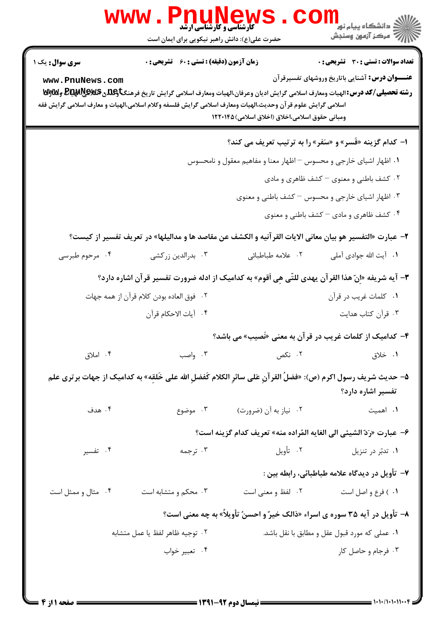|                                           | <b>www.PnuNews</b><br><b>گارشناسی و کارشناسی ارشد</b>                                                                                                                                                                                                                                                              |                                                                    | ر دانشڪاه پيام نور <mark>−</mark><br>ا∛ مرکز آزمون وسنڊش                                              |  |  |
|-------------------------------------------|--------------------------------------------------------------------------------------------------------------------------------------------------------------------------------------------------------------------------------------------------------------------------------------------------------------------|--------------------------------------------------------------------|-------------------------------------------------------------------------------------------------------|--|--|
|                                           | حضرت علی(ع): دانش راهبر نیکویی برای ایمان است                                                                                                                                                                                                                                                                      |                                                                    |                                                                                                       |  |  |
| <b>سری سوال :</b> یک ۱<br>www.PnuNews.com | <b>زمان آزمون (دقیقه) : تستی : 60 ٪ تشریحی : 0</b><br><b>رشته تحصیلی/کد درس: ا</b> لهیات ومعارف اسلامی گرایش ادیان وعرفان،الهیات ومعارف اسلامی گرایش تاریخ فرهنگ <del>تاوگ</del> لدن \$&@@B&& و&yتو<br>اسلامی گرایش علوم قر آن وحدیث،الهیات ومعارف اسلامی گرایش فلسفه وکلام اسلامی،الهیات و معارف اسلامی گرایش فقه | ومباني حقوق اسلامي،اخلاق (اخلاق اسلامي) ۱۲۲۰۱۴۵                    | <b>تعداد سوالات : تستی : 30 ٪ تشریحی : 0</b><br><b>عنـــوان درس:</b> آشنایی باتاریخ وروشهای تفسیرقرآن |  |  |
|                                           |                                                                                                                                                                                                                                                                                                                    |                                                                    | ا- کدام گزینه «فَسر» و «سَفر» را به ترتیب تعریف می کند؟                                               |  |  |
|                                           |                                                                                                                                                                                                                                                                                                                    | ۰۱ اظهار اشیای خارجی و محسوس – اظهار معنا و مفاهیم معقول و نامحسوس |                                                                                                       |  |  |
|                                           | ۰۲ کشف باطنی و معنوی – کشف ظاهری و مادی                                                                                                                                                                                                                                                                            |                                                                    |                                                                                                       |  |  |
|                                           | ۰۳ اظهار اشیای خارجی و محسوس – کشف باطنی و معنوی                                                                                                                                                                                                                                                                   |                                                                    |                                                                                                       |  |  |
|                                           |                                                                                                                                                                                                                                                                                                                    |                                                                    | ۰۴ کشف ظاهری و مادی – کشف باطنی و معنوی                                                               |  |  |
|                                           | ٢- عبارت «التفسير هو بيان معاني الايات القرآنيه و الكشف عن مقاصد ها و مداليلها» در تعريف تفسير از كيست؟                                                                                                                                                                                                            |                                                                    |                                                                                                       |  |  |
| ۰۴ مرحوم طبرسی                            | ۰۳ بدرالدین زرکشی                                                                                                                                                                                                                                                                                                  | ٢. علامه طباطبائي                                                  | ۰۱ آیت الله جوادی آملی                                                                                |  |  |
|                                           | ٣- آيه شريفه «اِنّ هذا القرآن يهدى للتّى هِي اَقوم» به كداميك از ادله ضرورت تفسير قرآن اشاره دارد؟                                                                                                                                                                                                                 |                                                                    |                                                                                                       |  |  |
|                                           | ٢ .   فوق العاده بودن كلام قرآن از همه جهات                                                                                                                                                                                                                                                                        |                                                                    | ۰۱ كلمات غريب در قرأن                                                                                 |  |  |
|                                           | ۴. آيات الاحكام قرآن                                                                                                                                                                                                                                                                                               |                                                                    | ۰۳ قرآن کتاب هدایت                                                                                    |  |  |
|                                           |                                                                                                                                                                                                                                                                                                                    |                                                                    | ۴- کدامیک از کلمات غریب در قرآن به معنی «نَصیب» می باشد؟                                              |  |  |
| ۰۴ املاق                                  | ۰۳ واصب                                                                                                                                                                                                                                                                                                            | ۰۲ نکص                                                             | ۰۱ خلاق                                                                                               |  |  |
|                                           | ۵− حديث شريف رسول اكرم (ص): «فضلُ القرآنِ عَلى سائرِ الكلام كَفضلِ الله على خَلقِه» به كداميك از جهات برترى علم                                                                                                                                                                                                    |                                                                    | تفسير اشاره دارد؟                                                                                     |  |  |
| ۰۴ هدف                                    | ۰۳ موضوع                                                                                                                                                                                                                                                                                                           | ۰۲ نیاز به آن (ضرورت)                                              | ٠١. اهميت                                                                                             |  |  |
|                                           |                                                                                                                                                                                                                                                                                                                    |                                                                    | ۶– عبارت «رَدّ الشيئي الي الغايه المُراده منه» تعريف كدام گزينه است؟                                  |  |  |
| ۰۴ تفسیر                                  | ۰۳ ترجمه                                                                                                                                                                                                                                                                                                           | ۰۲ تأويل                                                           | ۰۱ تدبّر در تنزیل                                                                                     |  |  |
|                                           |                                                                                                                                                                                                                                                                                                                    |                                                                    | ∀− تأويل در ديدگاه علامه طباطبائي، رابطه بين :                                                        |  |  |
| ۰۴ مثال و ممثل است                        | ۰۳ محکم و متشابه است                                                                                                                                                                                                                                                                                               | ۰۲ لفظ و معنى است                                                  | ٠١ ) فرع و اصل است                                                                                    |  |  |
|                                           |                                                                                                                                                                                                                                                                                                                    |                                                                    | ٨- تأویل در آیه ۳۵ سوره ی اسراء «ذالک خیر ٌو احسنُ تأویلاً» به چه معنی است؟                           |  |  |
|                                           | ٢. توجيه ظاهر لفظ يا عمل متشابه                                                                                                                                                                                                                                                                                    |                                                                    | ۰۱ عملی که مورد قبول عقل و مطابق با نقل باشد.                                                         |  |  |
|                                           | ۰۴ تعبير خواب                                                                                                                                                                                                                                                                                                      |                                                                    | ۰۳ فرجام و حاصل کار                                                                                   |  |  |
|                                           |                                                                                                                                                                                                                                                                                                                    |                                                                    |                                                                                                       |  |  |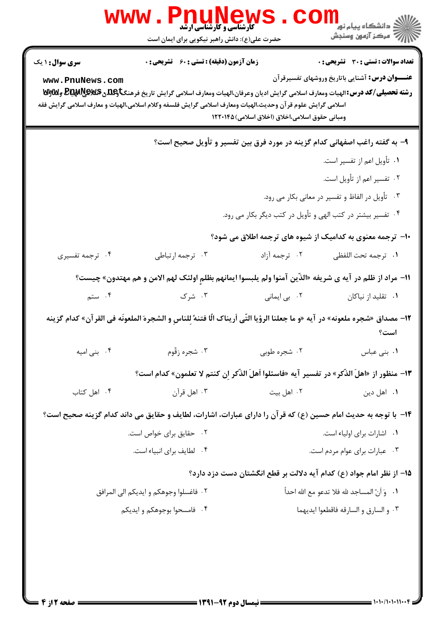|                                                                                                                                                                                                                                                                                                                                                                                        | <b>WWW . PILUNEWS</b><br>حضرت علی(ع): دانش راهبر نیکویی برای ایمان است                                                        |                                                   | ر دانشڪاه پيام نور ■<br>  <i> &gt;</i><br> }                                                 |  |
|----------------------------------------------------------------------------------------------------------------------------------------------------------------------------------------------------------------------------------------------------------------------------------------------------------------------------------------------------------------------------------------|-------------------------------------------------------------------------------------------------------------------------------|---------------------------------------------------|----------------------------------------------------------------------------------------------|--|
| <b>سری سوال : ۱ یک</b>                                                                                                                                                                                                                                                                                                                                                                 | زمان آزمون (دقیقه) : تستی : 60 ٪ تشریحی : 0                                                                                   |                                                   | <b>تعداد سوالات : تستي : 30 ٪ تشريحي : 0</b>                                                 |  |
| <b>عنـــوان درس:</b> آشنایی باتاریخ وروشهای تفسیرقرآن<br>www.PnuNews.com<br><b>رشته تحصیلی/کد درس: ال</b> هیات ومعارف اسلامی گرایش ادیان وعرفان،الهیات ومعارف اسلامی گرایش تاریخ فرهنگ <b>تاوگلدن #BRAR وWyw</b> وWy<br>اسلامى گرايش علوم قر آن وحديث،الهيات ومعارف اسلامى گرايش فلسفه وكلام اسلامى،الهيات و معارف اسلامى گرايش فقه<br>ومبانی حقوق اسلامی،اخلاق (اخلاق اسلامی) ۱۲۲۰۱۴۵ |                                                                                                                               |                                                   |                                                                                              |  |
|                                                                                                                                                                                                                                                                                                                                                                                        |                                                                                                                               |                                                   | ۹– به گفته راغب اصفهانی کدام گزینه در مورد فرق بین تفسیر و تأویل صحیح است؟                   |  |
|                                                                                                                                                                                                                                                                                                                                                                                        |                                                                                                                               |                                                   | ۰۱ تأویل اعم از تفسیر است.                                                                   |  |
|                                                                                                                                                                                                                                                                                                                                                                                        |                                                                                                                               |                                                   | ۰۲ تفسیر اعم از تأویل است.                                                                   |  |
| ۰۳ تأویل در الفاظ و تفسیر در معانی بکار می رود.                                                                                                                                                                                                                                                                                                                                        |                                                                                                                               |                                                   |                                                                                              |  |
| ۰۴ تفسیر بیشتر در کتب الهی و تأویل در کتب دیگر بکار می رود.                                                                                                                                                                                                                                                                                                                            |                                                                                                                               |                                                   |                                                                                              |  |
|                                                                                                                                                                                                                                                                                                                                                                                        |                                                                                                                               |                                                   | ∙ا− ترجمه معنوی به کدامیک از شیوه های ترجمه اطلاق می شود؟                                    |  |
| ۰۴ ترجمه تفسیری                                                                                                                                                                                                                                                                                                                                                                        | ۰۳ ترجمه ارتباطي                                                                                                              | ۰۲ ترجمه آزاد                                     | ٠١. ترجمه تحت اللفظي                                                                         |  |
|                                                                                                                                                                                                                                                                                                                                                                                        | ١١– مراد از ظلم در آيه ى شريفه «الذّين آمنوا ولم يلبسوا ايمانهم بظلمٍ اولئک لهم الامن و هم مهتدون» چيست؟                      |                                                   |                                                                                              |  |
| ۰۴ ستم $\mathfrak{g}$                                                                                                                                                                                                                                                                                                                                                                  |                                                                                                                               | ۲. بی ایمانی مسلم تا به شرک                       | ۰۱ تقلید از نیاکان                                                                           |  |
|                                                                                                                                                                                                                                                                                                                                                                                        | 12- مصداق «شجره ملعونه» در آيه «و ما جعلنا الرؤيا التّي اَريناك الّا فتنهً لِلناسِ و الشجرهَ الملعونَه في القر آن» كدام گزينه |                                                   | است؟                                                                                         |  |
|                                                                                                                                                                                                                                                                                                                                                                                        | ۲. شجره طوبی مسلم سنگ به شجره زقّوم مسلم ۲۰۰۴. بنی امیه                                                                       |                                                   | ۰۱ بنی عباس                                                                                  |  |
|                                                                                                                                                                                                                                                                                                                                                                                        |                                                                                                                               |                                                   | 13- منظور از «اهلَ الذَّكر» در تفسير آيه «فاسئلوا اَهلَ الذَّكر إن كنتم لا تعلمون» كدام است؟ |  |
| ۰۴ اهل کتاب                                                                                                                                                                                                                                                                                                                                                                            | ۰۳ اهل قرآن                                                                                                                   | ۰۲ اهل بیت                                        | ۰۱ اهل دين                                                                                   |  |
|                                                                                                                                                                                                                                                                                                                                                                                        | ۱۴– با توجه به حدیث امام حسین (ع) که قرآن را دارای عبارات، اشارات، لطایف و حقایق می داند کدام گزینه صحیح است؟                 |                                                   |                                                                                              |  |
|                                                                                                                                                                                                                                                                                                                                                                                        | ٠٢ حقايق براى خواص است.                                                                                                       |                                                   | ۰۱ اشارات برای اولیاء است.                                                                   |  |
| ۰۴ لطايف براى انبياء است.                                                                                                                                                                                                                                                                                                                                                              |                                                                                                                               |                                                   | ۰۳ مبارات برای عوام مردم است.                                                                |  |
|                                                                                                                                                                                                                                                                                                                                                                                        |                                                                                                                               |                                                   | ۱۵– از نظر امام جواد (ع) کدام آیه دلالت بر قطع انگشتان دست دزد دارد؟                         |  |
| ٢.  فاغسلوا وجوهكم و ايديكم الى المرافق                                                                                                                                                                                                                                                                                                                                                |                                                                                                                               | ٠١. ﴿ وَ أَنَّ المساجد لله فلا تدعو مع الله احداً |                                                                                              |  |
| ۰۴ فامسحوا بوجوهكم و ايديكم                                                                                                                                                                                                                                                                                                                                                            |                                                                                                                               | ٠٣ و السارق و السارقه فاقطعوا ايديهما             |                                                                                              |  |
|                                                                                                                                                                                                                                                                                                                                                                                        |                                                                                                                               |                                                   |                                                                                              |  |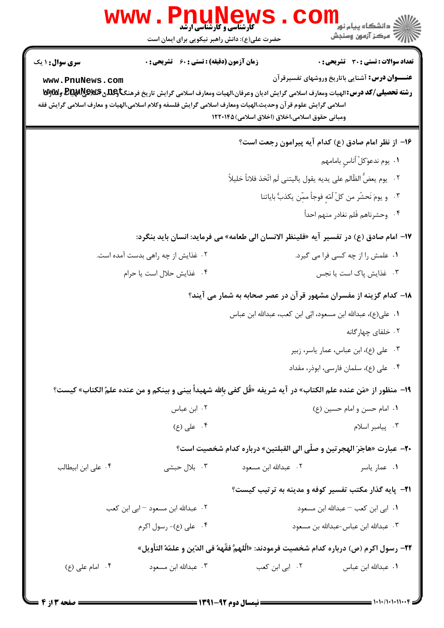| WWW<br>PNUN<br><b>کارشناسی و کارشناسی ارشد</b><br>حضرت علی(ع): دانش راهبر نیکویی برای ایمان است                                | ڪ دانشڪاه پيام نور<br>7- مرڪز آزمون وسنڊش                                                                                                                                                                                         |
|--------------------------------------------------------------------------------------------------------------------------------|-----------------------------------------------------------------------------------------------------------------------------------------------------------------------------------------------------------------------------------|
| <b>زمان آزمون (دقیقه) : تستی : 60 ٪ تشریحی : 0</b><br><b>سری سوال :</b> ۱ یک                                                   | <b>تعداد سوالات : تستی : 30 ٪ تشریحی : 0</b>                                                                                                                                                                                      |
| www.PnuNews.com<br>اسلامی گرایش علوم قر آن وحدیث،الهیات ومعارف اسلامی گرایش فلسفه وکلام اسلامی،الهیات و معارف اسلامی گرایش فقه | <b>عنـــوان درس:</b> آشنایی باتاریخ وروشهای تفسیرقرآن<br>رشته تحصیلی/کد درس: الهیات ومعارف اسلامی گرایش ادیان وعرفان،الهیات ومعارف اسلامی گرایش تاریخ فرهنگتاوعلاق&یکیاهپیاچیا<br>ومباني حقوق اسلامي،اخلاق (اخلاق اسلامي) ۱۲۲۰۱۴۵ |
|                                                                                                                                | ۱۶– از نظر امام صادق (ع) کدام آیه پیرامون رجعت است؟                                                                                                                                                                               |
|                                                                                                                                | ٠١. يوم ندعوَكلّ أناسٍ بامامهم                                                                                                                                                                                                    |
|                                                                                                                                | ٢.    يوم يعضُّ الظَّالم على يديه يقول ياليتنى لَم اتَّخذ فلاناً خليلاً                                                                                                                                                           |
|                                                                                                                                | ٣. ويومَ نَحشَر من كلِّ أُمّهِ فوجاً ممّن يكذبُّ باياتنا                                                                                                                                                                          |
|                                                                                                                                | ۰۴ وحشرناهم فَلم نغادر منهم احداً                                                                                                                                                                                                 |
|                                                                                                                                | ۱۷− امام صادق (ع) در تفسیر آیه «فلینظر الانسان الی طعامه» می فرماید: انسان باید بنگرد:                                                                                                                                            |
| ۰۲ غذایش از چه راهی بدست آمده است.                                                                                             | ۰۱ علمش را از چه کسی فرا می گیرد.                                                                                                                                                                                                 |
| ۰۴ غذايش حلال است يا حرام                                                                                                      | ۰۳ غذایش پاک است یا نجس                                                                                                                                                                                                           |
|                                                                                                                                | ۱۸– کدام گزینه از مفسران مشهور قرآن در عصر صحابه به شمار می آیند؟                                                                                                                                                                 |
|                                                                                                                                | ٠١ علي(ع)، عبدالله ابن مسعود، ابّي ابن كعب، عبدالله ابن عباس                                                                                                                                                                      |
|                                                                                                                                | ۰۲ خلفای چهار گانه                                                                                                                                                                                                                |
|                                                                                                                                | ۰۳ علی (ع)، ابن عباس، عمار یاسر، زبیر                                                                                                                                                                                             |
|                                                                                                                                | ۰۴ علی (ع)، سلمان فارسی، ابوذر، مقداد                                                                                                                                                                                             |
|                                                                                                                                | ١٩- منظور از «مَن عنده علم الكتاب» در آيه شريفه «قُل كفي بالله شهيداً بيني و بينكم و من عنده علمُ الكتاب» كيست؟                                                                                                                   |
| ۰۲ ابن عباس                                                                                                                    | ٠١. امام حسن و امام حسين (ع)                                                                                                                                                                                                      |
| ۰۴ علی (ع)                                                                                                                     | ۰۳ پیامبر اسلام                                                                                                                                                                                                                   |
|                                                                                                                                | <b>۲۰</b> - عبارت «هاجَرَ الهجرتين و صلَّى الى القبلتين» درباره كدام شخصيت است؟                                                                                                                                                   |
| ۰۳ بلال حبشی<br>۰۴ على ابن ابيطالب                                                                                             | ۲. عبدالله ابن مسعود<br>۰۱ عمار یاسر                                                                                                                                                                                              |
|                                                                                                                                | <b>۲۱</b> - پایه گذار مکتب تفسیر کوفه و مدینه به ترتیب کیست؟                                                                                                                                                                      |
| ۰۲ عبدالله ابن مسعود – ابی ابن کعب                                                                                             | ٠١. ابي ابن كعب - عبدالله ابن مسعود                                                                                                                                                                                               |
| ۰۴ على (ع)- رسول اكرم                                                                                                          | ٠٣ عبدالله ابن عباس-عبدالله بن مسعود                                                                                                                                                                                              |
|                                                                                                                                | 7٢– رسول اكرم (ص) درباره كدام شخصيت فرمودند: «الَّلهمَّ فقَّههُ في الدّين و علمّهُ التأويل»                                                                                                                                       |
| ۰۴ امام على (ع)<br>۰۳ عبدالله ابن مسعود                                                                                        | ۰۲ ابی ابن کعب<br>٠١. عبدالله ابن عباس                                                                                                                                                                                            |
|                                                                                                                                |                                                                                                                                                                                                                                   |